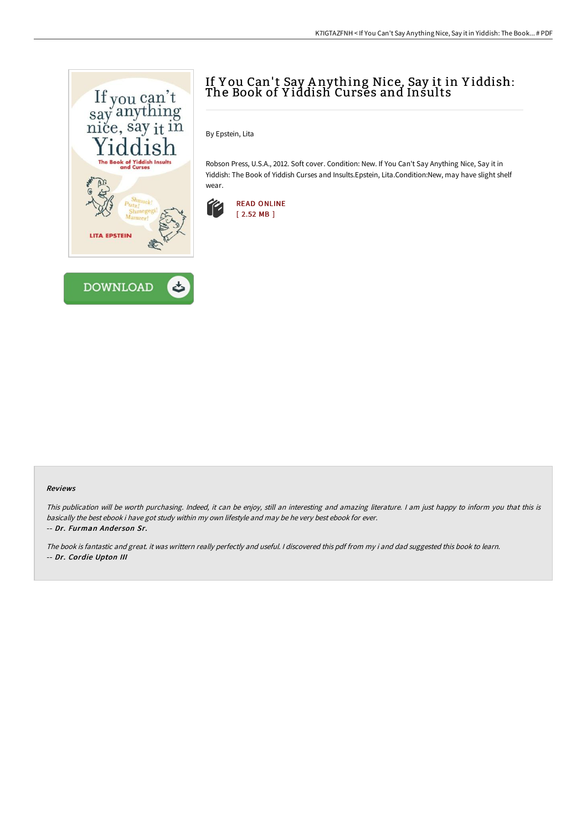



# If Y ou Can't Say A nything Nice, Say it in Y iddish: The Book of Y iddish Curses and Insults

By Epstein, Lita

Robson Press, U.S.A., 2012. Soft cover. Condition: New. If You Can't Say Anything Nice, Say it in Yiddish: The Book of Yiddish Curses and Insults.Epstein, Lita.Condition:New, may have slight shelf wear.



#### Reviews

This publication will be worth purchasing. Indeed, it can be enjoy, still an interesting and amazing literature. <sup>I</sup> am just happy to inform you that this is basically the best ebook i have got study within my own lifestyle and may be he very best ebook for ever. -- Dr. Furman Ander son Sr.

The book is fantastic and great. it was writtern really perfectly and useful. <sup>I</sup> discovered this pdf from my i and dad suggested this book to learn. -- Dr. Cordie Upton III